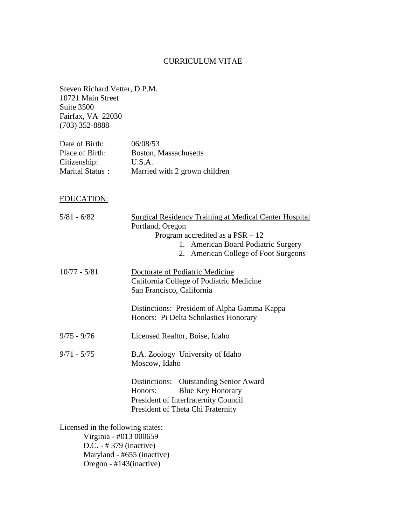## CURRICULUM VITAE

Steven Richard Vetter, D.P.M. 10721 Main Street Suite 3500 Fairfax, VA 22030 (703) 352-8888

| Date of Birth:  | 06/08/53                      |
|-----------------|-------------------------------|
| Place of Birth: | Boston, Massachusetts         |
| Citizenship:    | U.S.A.                        |
| Marital Status: | Married with 2 grown children |

# EDUCATION:

| $5/81 - 6/82$                     | <b>Surgical Residency Training at Medical Center Hospital</b> |
|-----------------------------------|---------------------------------------------------------------|
|                                   | Portland, Oregon                                              |
|                                   | Program accredited as a $PSR - 12$                            |
|                                   | 1. American Board Podiatric Surgery                           |
|                                   | 2. American College of Foot Surgeons                          |
| $10/77 - 5/81$                    | Doctorate of Podiatric Medicine                               |
|                                   | California College of Podiatric Medicine                      |
|                                   | San Francisco, California                                     |
|                                   | Distinctions: President of Alpha Gamma Kappa                  |
|                                   | Honors: Pi Delta Scholastics Honorary                         |
| $9/75 - 9/76$                     | Licensed Realtor, Boise, Idaho                                |
| $9/71 - 5/75$                     | <b>B.A. Zoology</b> University of Idaho<br>Moscow, Idaho      |
|                                   | Distinctions: Outstanding Senior Award                        |
|                                   | <b>Blue Key Honorary</b><br>Honors:                           |
|                                   | President of Interfraternity Council                          |
|                                   | President of Theta Chi Fraternity                             |
| Licensed in the following states: |                                                               |
|                                   | Virginia - #013 000659                                        |
|                                   | D.C. $-$ # 379 (inactive)                                     |
|                                   | Maryland - #655 (inactive)                                    |

Oregon - #143(inactive)